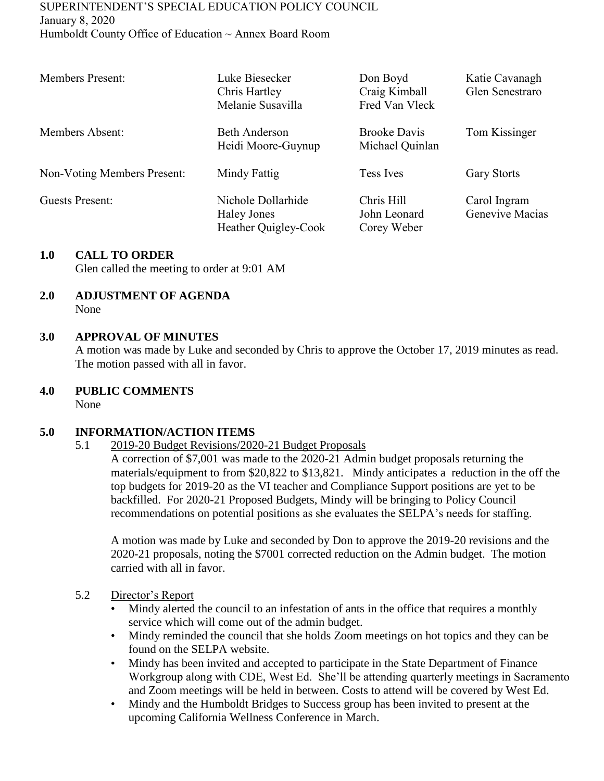#### SUPERINTENDENT'S SPECIAL EDUCATION POLICY COUNCIL January 8, 2020 Humboldt County Office of Education ~ Annex Board Room

| <b>Members Present:</b>     | Luke Biesecker<br>Chris Hartley<br>Melanie Susavilla             | Don Boyd<br>Craig Kimball<br>Fred Van Vleck | Katie Cavanagh<br>Glen Senestraro |
|-----------------------------|------------------------------------------------------------------|---------------------------------------------|-----------------------------------|
| Members Absent:             | <b>Beth Anderson</b><br>Heidi Moore-Guynup                       | <b>Brooke Davis</b><br>Michael Quinlan      | Tom Kissinger                     |
| Non-Voting Members Present: | Mindy Fattig                                                     | Tess Ives                                   | <b>Gary Storts</b>                |
| Guests Present:             | Nichole Dollarhide<br><b>Haley Jones</b><br>Heather Quigley-Cook | Chris Hill<br>John Leonard<br>Corey Weber   | Carol Ingram<br>Genevive Macias   |

### **1.0 CALL TO ORDER**

Glen called the meeting to order at 9:01 AM

#### **2.0 ADJUSTMENT OF AGENDA** None

### **3.0 APPROVAL OF MINUTES**

A motion was made by Luke and seconded by Chris to approve the October 17, 2019 minutes as read. The motion passed with all in favor.

### **4.0 PUBLIC COMMENTS**

None

#### **5.0 INFORMATION/ACTION ITEMS**

5.1 2019-20 Budget Revisions/2020-21 Budget Proposals

A correction of \$7,001 was made to the 2020-21 Admin budget proposals returning the materials/equipment to from \$20,822 to \$13,821. Mindy anticipates a reduction in the off the top budgets for 2019-20 as the VI teacher and Compliance Support positions are yet to be backfilled. For 2020-21 Proposed Budgets, Mindy will be bringing to Policy Council recommendations on potential positions as she evaluates the SELPA's needs for staffing.

A motion was made by Luke and seconded by Don to approve the 2019-20 revisions and the 2020-21 proposals, noting the \$7001 corrected reduction on the Admin budget. The motion carried with all in favor.

#### 5.2 Director's Report

- Mindy alerted the council to an infestation of ants in the office that requires a monthly service which will come out of the admin budget.
- Mindy reminded the council that she holds Zoom meetings on hot topics and they can be found on the SELPA website.
- Mindy has been invited and accepted to participate in the State Department of Finance Workgroup along with CDE, West Ed. She'll be attending quarterly meetings in Sacramento and Zoom meetings will be held in between. Costs to attend will be covered by West Ed.
- Mindy and the Humboldt Bridges to Success group has been invited to present at the upcoming California Wellness Conference in March.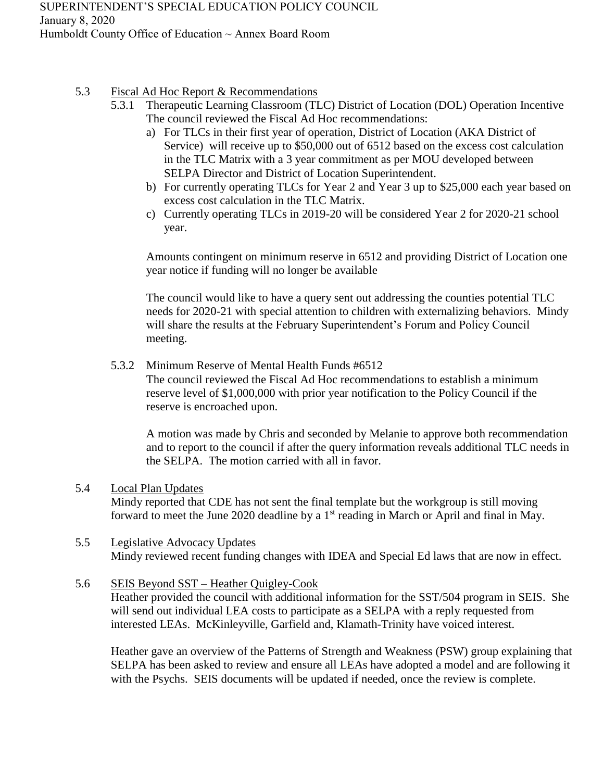- 5.3 Fiscal Ad Hoc Report & Recommendations
	- 5.3.1 Therapeutic Learning Classroom (TLC) District of Location (DOL) Operation Incentive The council reviewed the Fiscal Ad Hoc recommendations:
		- a) For TLCs in their first year of operation, District of Location (AKA District of Service) will receive up to \$50,000 out of 6512 based on the excess cost calculation in the TLC Matrix with a 3 year commitment as per MOU developed between SELPA Director and District of Location Superintendent.
		- b) For currently operating TLCs for Year 2 and Year 3 up to \$25,000 each year based on excess cost calculation in the TLC Matrix.
		- c) Currently operating TLCs in 2019-20 will be considered Year 2 for 2020-21 school year.

Amounts contingent on minimum reserve in 6512 and providing District of Location one year notice if funding will no longer be available

The council would like to have a query sent out addressing the counties potential TLC needs for 2020-21 with special attention to children with externalizing behaviors. Mindy will share the results at the February Superintendent's Forum and Policy Council meeting.

5.3.2 Minimum Reserve of Mental Health Funds #6512

The council reviewed the Fiscal Ad Hoc recommendations to establish a minimum reserve level of \$1,000,000 with prior year notification to the Policy Council if the reserve is encroached upon.

A motion was made by Chris and seconded by Melanie to approve both recommendation and to report to the council if after the query information reveals additional TLC needs in the SELPA. The motion carried with all in favor.

# 5.4 Local Plan Updates Mindy reported that CDE has not sent the final template but the workgroup is still moving forward to meet the June 2020 deadline by a 1<sup>st</sup> reading in March or April and final in May.

- 5.5 Legislative Advocacy Updates Mindy reviewed recent funding changes with IDEA and Special Ed laws that are now in effect.
- 5.6 SEIS Beyond SST Heather Quigley-Cook

Heather provided the council with additional information for the SST/504 program in SEIS. She will send out individual LEA costs to participate as a SELPA with a reply requested from interested LEAs. McKinleyville, Garfield and, Klamath-Trinity have voiced interest.

Heather gave an overview of the Patterns of Strength and Weakness (PSW) group explaining that SELPA has been asked to review and ensure all LEAs have adopted a model and are following it with the Psychs. SEIS documents will be updated if needed, once the review is complete.